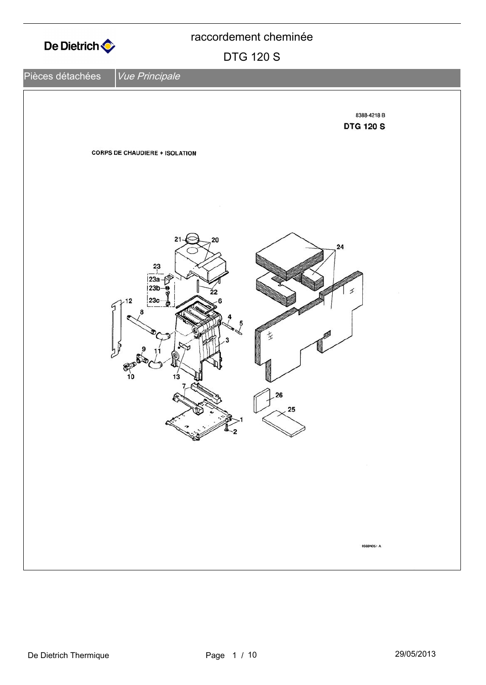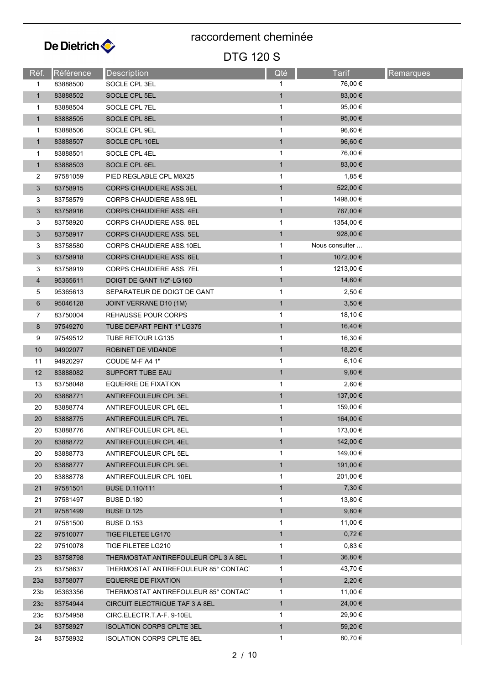

| Réf.            | Référence | <b>Description</b>                   | Qté          | <b>Tarif</b>   | <b>Remarques</b> |
|-----------------|-----------|--------------------------------------|--------------|----------------|------------------|
| 1               | 83888500  | SOCLE CPL 3EL                        | 1            | 76,00 €        |                  |
| $\mathbf{1}$    | 83888502  | SOCLE CPL 5EL                        | $\mathbf{1}$ | 83,00 €        |                  |
| 1               | 83888504  | SOCLE CPL 7EL                        | 1            | 95,00 €        |                  |
| $\mathbf{1}$    | 83888505  | SOCLE CPL 8EL                        | $\mathbf{1}$ | 95,00 €        |                  |
| 1               | 83888506  | SOCLE CPL 9EL                        | 1            | 96,60 €        |                  |
| $\mathbf{1}$    | 83888507  | SOCLE CPL 10EL                       | $\mathbf{1}$ | 96,60 €        |                  |
| 1               | 83888501  | SOCLE CPL 4EL                        | 1            | 76,00 €        |                  |
| $\mathbf{1}$    | 83888503  | SOCLE CPL 6EL                        | $\mathbf{1}$ | 83,00 €        |                  |
| 2               | 97581059  | PIED REGLABLE CPL M8X25              | 1            | 1,85 €         |                  |
| 3               | 83758915  | <b>CORPS CHAUDIERE ASS.3EL</b>       | $\mathbf{1}$ | 522,00 €       |                  |
| 3               | 83758579  | <b>CORPS CHAUDIERE ASS.9EL</b>       | 1            | 1498,00 €      |                  |
| 3               | 83758916  | <b>CORPS CHAUDIERE ASS. 4EL</b>      | $\mathbf{1}$ | 767,00 €       |                  |
| 3               | 83758920  | <b>CORPS CHAUDIERE ASS. 8EL</b>      | 1            | 1354,00 €      |                  |
| 3               | 83758917  | <b>CORPS CHAUDIERE ASS, 5EL</b>      | $\mathbf{1}$ | 928,00 €       |                  |
| 3               | 83758580  | <b>CORPS CHAUDIERE ASS.10EL</b>      | 1            | Nous consulter |                  |
| 3               | 83758918  | <b>CORPS CHAUDIERE ASS. 6EL</b>      | $\mathbf{1}$ | 1072,00 €      |                  |
| 3               | 83758919  | CORPS CHAUDIERE ASS. 7EL             | 1            | 1213,00 €      |                  |
| $\overline{4}$  | 95365611  | DOIGT DE GANT 1/2"-LG160             | $\mathbf{1}$ | 14,60 €        |                  |
| 5               | 95365613  | SEPARATEUR DE DOIGT DE GANT          | 1            | 2,50 €         |                  |
| 6               | 95046128  | JOINT VERRANE D10 (1M)               | $\mathbf{1}$ | $3,50 \in$     |                  |
| 7               | 83750004  | REHAUSSE POUR CORPS                  | 1            | 18,10 €        |                  |
| 8               | 97549270  | TUBE DEPART PEINT 1" LG375           | $\mathbf{1}$ | 16,40 €        |                  |
| 9               | 97549512  | TUBE RETOUR LG135                    | 1            | 16,30 €        |                  |
| 10              | 94902077  | ROBINET DE VIDANDE                   | $\mathbf{1}$ | 18,20 €        |                  |
| 11              | 94920297  | COUDE M-F A4 1"                      | $\mathbf{1}$ | 6,10 €         |                  |
| 12              | 83888082  | <b>SUPPORT TUBE EAU</b>              | $\mathbf{1}$ | $9,80 \in$     |                  |
| 13              | 83758048  | EQUERRE DE FIXATION                  | 1            | 2,60 €         |                  |
| 20              | 83888771  | ANTIREFOULEUR CPL 3EL                | $\mathbf{1}$ | 137,00 €       |                  |
| 20              | 83888774  | ANTIREFOULEUR CPL 6EL                | 1            | 159,00 €       |                  |
| 20              | 83888775  | ANTIREFOULEUR CPL 7EL                | $\mathbf{1}$ | 164,00 €       |                  |
| 20              | 83888776  | ANTIREFOULEUR CPL 8EL                | 1            | 173,00 €       |                  |
| 20              | 83888772  | ANTIREFOULEUR CPL 4EL                | $\mathbf{1}$ | 142,00 €       |                  |
| 20              | 83888773  | ANTIREFOULEUR CPL 5EL                | 1            | 149,00 €       |                  |
| 20              | 83888777  | ANTIREFOULEUR CPL 9EL                | $\mathbf{1}$ | 191,00 €       |                  |
| 20              | 83888778  | ANTIREFOULEUR CPL 10EL               | 1            | 201,00 €       |                  |
| 21              | 97581501  | <b>BUSE D.110/111</b>                | $\mathbf{1}$ | 7,30€          |                  |
| 21              | 97581497  | <b>BUSE D.180</b>                    | 1            | 13,80 €        |                  |
| 21              | 97581499  | <b>BUSE D.125</b>                    | $\mathbf{1}$ | 9,80€          |                  |
| 21              | 97581500  | <b>BUSE D.153</b>                    | 1            | 11,00 €        |                  |
| 22              | 97510077  | <b>TIGE FILETEE LG170</b>            | $\mathbf{1}$ | $0,72 \in$     |                  |
| 22              | 97510078  | TIGE FILETEE LG210                   | 1            | 0,83€          |                  |
| 23              | 83758798  | THERMOSTAT ANTIREFOULEUR CPL 3 A 8EL | $\mathbf{1}$ | $36,80 \in$    |                  |
| 23              | 83758637  | THERMOSTAT ANTIREFOULEUR 85° CONTACT | 1            | 43,70 €        |                  |
| 23a             | 83758077  | <b>EQUERRE DE FIXATION</b>           | $\mathbf{1}$ | 2,20€          |                  |
| 23 <sub>b</sub> | 95363356  | THERMOSTAT ANTIREFOULEUR 85° CONTACT | 1            | 11,00 €        |                  |
| 23c             | 83754944  | CIRCUIT ELECTRIQUE TAF 3 A 8EL       | $\mathbf{1}$ | 24,00 €        |                  |
| 23c             | 83754958  | CIRC.ELECTR.T.A-F. 9-10EL            | 1            | 29,90 €        |                  |
| 24              | 83758927  | <b>ISOLATION CORPS CPLTE 3EL</b>     | $\mathbf{1}$ | 59,20 €        |                  |
| 24              | 83758932  | <b>ISOLATION CORPS CPLTE 8EL</b>     | $\mathbf{1}$ | 80,70 €        |                  |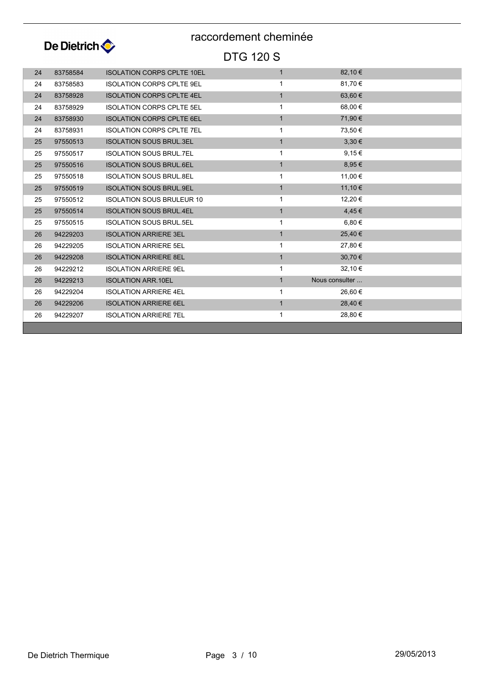

| 24 | 83758584 | <b>ISOLATION CORPS CPLTE 10EL</b> | $\mathbf{1}$ | 82,10 €        |  |
|----|----------|-----------------------------------|--------------|----------------|--|
| 24 | 83758583 | <b>ISOLATION CORPS CPLTE 9EL</b>  | 1            | 81,70€         |  |
| 24 | 83758928 | <b>ISOLATION CORPS CPLTE 4EL</b>  | $\mathbf{1}$ | 63,60€         |  |
| 24 | 83758929 | <b>ISOLATION CORPS CPLTE 5EL</b>  | 1            | 68,00 €        |  |
| 24 | 83758930 | <b>ISOLATION CORPS CPLTE 6EL</b>  | $\mathbf{1}$ | 71,90 €        |  |
| 24 | 83758931 | <b>ISOLATION CORPS CPLTE 7EL</b>  | 1            | 73,50 €        |  |
| 25 | 97550513 | <b>ISOLATION SOUS BRUL.3EL</b>    | $\mathbf{1}$ | $3,30 \in$     |  |
| 25 | 97550517 | <b>ISOLATION SOUS BRUL.7EL</b>    | 1            | 9,15€          |  |
| 25 | 97550516 | <b>ISOLATION SOUS BRUL.6EL</b>    | $\mathbf{1}$ | 8,95 €         |  |
| 25 | 97550518 | <b>ISOLATION SOUS BRUL 8EL</b>    | $\mathbf 1$  | 11,00 €        |  |
| 25 | 97550519 | <b>ISOLATION SOUS BRUL.9EL</b>    | $\mathbf{1}$ | 11,10 €        |  |
| 25 | 97550512 | <b>ISOLATION SOUS BRULEUR 10</b>  | $\mathbf{1}$ | 12,20 €        |  |
| 25 | 97550514 | <b>ISOLATION SOUS BRUL.4EL</b>    | $\mathbf{1}$ | 4,45€          |  |
| 25 | 97550515 | <b>ISOLATION SOUS BRUL.5EL</b>    | 1            | 6,80 €         |  |
| 26 | 94229203 | <b>ISOLATION ARRIERE 3EL</b>      | $\mathbf{1}$ | 25,40 €        |  |
| 26 | 94229205 | <b>ISOLATION ARRIERE 5EL</b>      | 1            | 27,80 €        |  |
| 26 | 94229208 | <b>ISOLATION ARRIERE 8EL</b>      | $\mathbf{1}$ | 30,70€         |  |
| 26 | 94229212 | <b>ISOLATION ARRIERE 9EL</b>      | $\mathbf 1$  | 32,10 €        |  |
| 26 | 94229213 | <b>ISOLATION ARR.10EL</b>         | $\mathbf{1}$ | Nous consulter |  |
| 26 | 94229204 | <b>ISOLATION ARRIERE 4EL</b>      | 1            | 26,60 €        |  |
| 26 | 94229206 | <b>ISOLATION ARRIERE 6EL</b>      | $\mathbf{1}$ | 28,40 €        |  |
| 26 | 94229207 | <b>ISOLATION ARRIERE 7EL</b>      | 1            | 28,80 €        |  |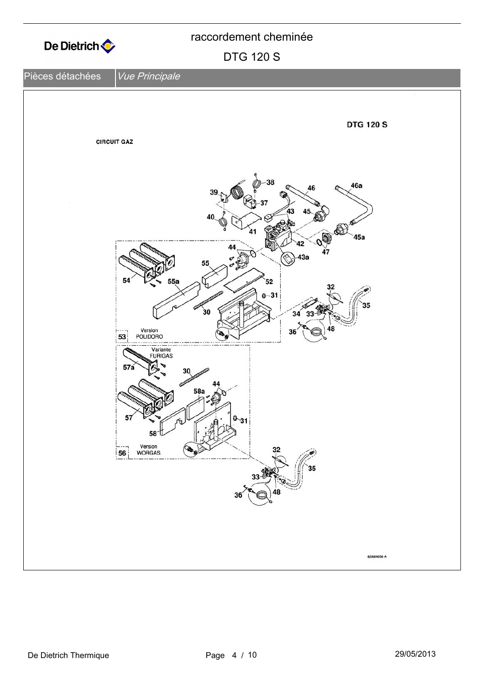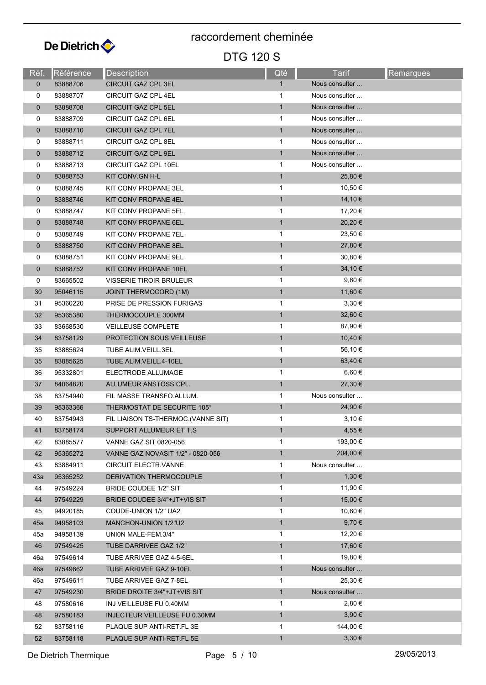![](_page_4_Picture_0.jpeg)

| Réf.        | Référence | <b>Description</b>                 | Qté          | <b>Tarif</b>   | <b>Remarques</b> |
|-------------|-----------|------------------------------------|--------------|----------------|------------------|
| $\mathbf 0$ | 83888706  | <b>CIRCUIT GAZ CPL 3EL</b>         | $\mathbf{1}$ | Nous consulter |                  |
| 0           | 83888707  | CIRCUIT GAZ CPL 4EL                | 1            | Nous consulter |                  |
| $\mathbf 0$ | 83888708  | <b>CIRCUIT GAZ CPL 5EL</b>         | $\mathbf{1}$ | Nous consulter |                  |
| 0           | 83888709  | CIRCUIT GAZ CPL 6EL                | 1            | Nous consulter |                  |
| $\mathbf 0$ | 83888710  | <b>CIRCUIT GAZ CPL 7EL</b>         | $\mathbf{1}$ | Nous consulter |                  |
| 0           | 83888711  | <b>CIRCUIT GAZ CPL 8EL</b>         | 1            | Nous consulter |                  |
| $\mathbf 0$ | 83888712  | CIRCUIT GAZ CPL 9EL                | $\mathbf{1}$ | Nous consulter |                  |
| 0           | 83888713  | CIRCUIT GAZ CPL 10EL               | $\mathbf{1}$ | Nous consulter |                  |
| $\mathbf 0$ | 83888753  | KIT CONV GN H-L                    | $\mathbf{1}$ | 25,80€         |                  |
| 0           | 83888745  | KIT CONV PROPANE 3EL               | 1            | 10,50 €        |                  |
| $\mathbf 0$ | 83888746  | KIT CONV PROPANE 4EL               | $\mathbf{1}$ | 14,10 €        |                  |
| 0           | 83888747  | KIT CONV PROPANE 5EL               | 1            | 17,20 €        |                  |
| 0           | 83888748  | KIT CONV PROPANE 6EL               | $\mathbf{1}$ | 20,20 €        |                  |
| 0           | 83888749  | KIT CONV PROPANE 7EL               | 1            | 23,50 €        |                  |
| $\mathbf 0$ | 83888750  | KIT CONV PROPANE 8EL               | $\mathbf{1}$ | 27,80 €        |                  |
| 0           | 83888751  | KIT CONV PROPANE 9EL               | 1            | 30,80 €        |                  |
| $\mathbf 0$ | 83888752  | KIT CONV PROPANE 10EL              | $\mathbf{1}$ | 34,10 €        |                  |
| 0           | 83665502  | <b>VISSERIE TIROIR BRULEUR</b>     | 1            | 9,80€          |                  |
| 30          | 95046115  | <b>JOINT THERMOCORD (1M)</b>       | $\mathbf{1}$ | 11,60 €        |                  |
| 31          | 95360220  | PRISE DE PRESSION FURIGAS          | 1            | $3,30 \in$     |                  |
| 32          | 95365380  | THERMOCOUPLE 300MM                 | $\mathbf{1}$ | 32,60 €        |                  |
| 33          | 83668530  | <b>VEILLEUSE COMPLETE</b>          | 1            | 87,90 €        |                  |
| 34          | 83758129  | <b>PROTECTION SOUS VEILLEUSE</b>   | $\mathbf{1}$ | 10,40 €        |                  |
| 35          | 83885624  | TUBE ALIM.VEILL.3EL                | 1            | 56,10 €        |                  |
| 35          | 83885625  | TUBE ALIM VEILL 4-10EL             | $\mathbf{1}$ | 63,40 €        |                  |
| 36          | 95332801  | ELECTRODE ALLUMAGE                 | 1            | $6,60 \in$     |                  |
| 37          | 84064820  | ALLUMEUR ANSTOSS CPL.              | $\mathbf{1}$ | 27,30 €        |                  |
| 38          | 83754940  | FIL MASSE TRANSFO.ALLUM.           | 1            | Nous consulter |                  |
| 39          | 95363366  | THERMOSTAT DE SECURITE 105°        | $\mathbf{1}$ | 24,90 €        |                  |
| 40          | 83754943  | FIL LIAISON TS-THERMOC.(VANNE SIT) | 1            | 3,10€          |                  |
| 41          | 83758174  | SUPPORT ALLUMEUR ET T.S            | 1            | $4,55 \in$     |                  |
| 42          | 83885577  | <b>VANNE GAZ SIT 0820-056</b>      | 1            | 193,00 €       |                  |
| 42          | 95365272  | VANNE GAZ NOVASIT 1/2" - 0820-056  | $\mathbf{1}$ | 204,00 €       |                  |
| 43          | 83884911  | <b>CIRCUIT ELECTR VANNE</b>        | 1            | Nous consulter |                  |
| 43a         | 95365252  | DERIVATION THERMOCOUPLE            | $\mathbf{1}$ | 1,30€          |                  |
| 44          | 97549224  | <b>BRIDE COUDEE 1/2" SIT</b>       | $\mathbf 1$  | 11,90 €        |                  |
| 44          | 97549229  | BRIDE COUDEE 3/4"+JT+VIS SIT       | $\mathbf{1}$ | 15,00 €        |                  |
| 45          | 94920185  | COUDE-UNION 1/2" UA2               | 1            | 10,60 €        |                  |
| 45a         | 94958103  | MANCHON-UNION 1/2"U2               | $\mathbf{1}$ | 9,70€          |                  |
| 45a         | 94958139  | UNION MALE-FEM.3/4"                | 1            | 12,20 €        |                  |
| 46          | 97549425  | TUBE DARRIVEE GAZ 1/2"             | $\mathbf{1}$ | 17,60 €        |                  |
| 46a         | 97549614  | TUBE ARRIVEE GAZ 4-5-6EL           | 1            | 19,80 €        |                  |
| 46a         | 97549662  | TUBE ARRIVEE GAZ 9-10EL            | $\mathbf{1}$ | Nous consulter |                  |
| 46a         | 97549611  | TUBE ARRIVEE GAZ 7-8EL             | 1            | 25,30 €        |                  |
| 47          | 97549230  | BRIDE DROITE 3/4"+JT+VIS SIT       | $\mathbf{1}$ | Nous consulter |                  |
| 48          | 97580616  | INJ VEILLEUSE FU 0.40MM            | 1            | 2,80€          |                  |
| 48          | 97580183  | INJECTEUR VEILLEUSE FU 0.30MM      | $\mathbf{1}$ | $3,90 \in$     |                  |
| 52          | 83758116  | PLAQUE SUP ANTI-RET.FL 3E          | 1            | 144,00 €       |                  |
| 52          | 83758118  | PLAQUE SUP ANTI-RET.FL 5E          | 1            | 3,30€          |                  |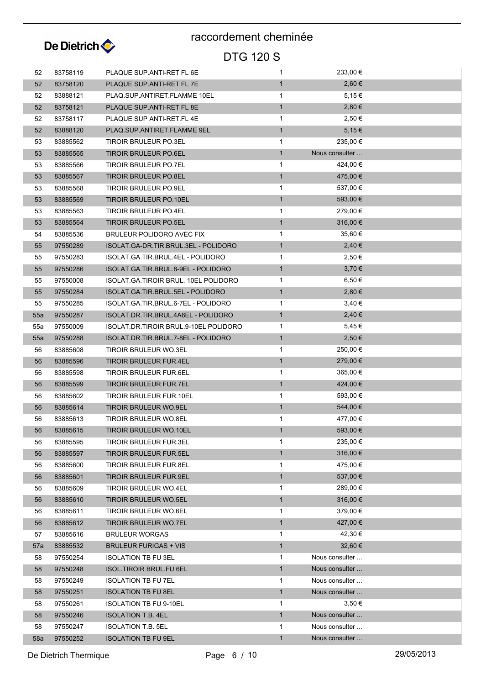![](_page_5_Picture_0.jpeg)

| 52  | 83758119 | PLAQUE SUP ANTI-RET FL 6E             | $\mathbf{1}$ | 233,00 €       |  |
|-----|----------|---------------------------------------|--------------|----------------|--|
| 52  | 83758120 | PLAQUE SUP ANTI-RET FL 7E             | $\mathbf{1}$ | 2,60€          |  |
| 52  | 83888121 | PLAQ SUP ANTIRET FLAMME 10EL          | $\mathbf{1}$ | $5,15 \in$     |  |
| 52  | 83758121 | PLAQUE SUP.ANTI-RET FL 8E             | $\mathbf{1}$ | 2,80€          |  |
| 52  | 83758117 | PLAQUE SUP ANTI-RET.FL 4E             | $\mathbf{1}$ | 2,50 €         |  |
| 52  | 83888120 | PLAQ SUP ANTIRET FLAMME 9EL           | $\mathbf{1}$ | 5,15€          |  |
| 53  | 83885562 | TIROIR BRULEUR PO.3EL                 | $\mathbf{1}$ | 235,00 €       |  |
| 53  | 83885565 | <b>TIROIR BRULEUR PO.6EL</b>          | $\mathbf{1}$ | Nous consulter |  |
| 53  | 83885566 | <b>TIROIR BRULEUR PO.7EL</b>          | $\mathbf 1$  | 424,00 €       |  |
| 53  | 83885567 | <b>TIROIR BRULEUR PO.8EL</b>          | $\mathbf{1}$ | 475,00 €       |  |
| 53  | 83885568 | TIROIR BRULEUR PO.9EL                 | $\mathbf{1}$ | 537,00 €       |  |
| 53  | 83885569 | <b>TIROIR BRULEUR PO.10EL</b>         | $\mathbf{1}$ | 593,00 €       |  |
| 53  | 83885563 | TIROIR BRULEUR PO.4EL                 | $\mathbf{1}$ | 279,00 €       |  |
| 53  | 83885564 | <b>TIROIR BRULEUR PO.5EL</b>          | $\mathbf{1}$ | 316,00 €       |  |
| 54  | 83885536 | BRULEUR POLIDORO AVEC FIX             | $\mathbf 1$  | 35,60 €        |  |
| 55  | 97550289 | ISOLAT.GA-DR.TIR.BRUL.3EL - POLIDORO  | $\mathbf{1}$ | 2,40€          |  |
| 55  | 97550283 | ISOLAT GA TIR BRUL 4EL - POLIDORO     | $\mathbf{1}$ | 2,50 €         |  |
| 55  | 97550286 | ISOLAT.GA.TIR.BRUL.8-9EL - POLIDORO   | $\mathbf{1}$ | $3,70 \in$     |  |
| 55  | 97550008 | ISOLAT.GA.TIROIR BRUL. 10EL POLIDORO  | $\mathbf{1}$ | $6,50 \in$     |  |
| 55  | 97550284 | ISOLAT GA TIR BRUL 5EL - POLIDORO     | $\mathbf{1}$ | 2,80€          |  |
| 55  | 97550285 | ISOLAT GA TIR BRUL 6-7EL - POLIDORO   | $\mathbf{1}$ | 3,40€          |  |
| 55a | 97550287 | ISOLAT.DR.TIR.BRUL.4A6EL - POLIDORO   | $\mathbf{1}$ | 2,40€          |  |
|     |          | ISOLAT.DR.TIROIR BRUL.9-10EL POLIDORO | $\mathbf{1}$ | $5,45 \in$     |  |
| 55a | 97550009 |                                       | $\mathbf{1}$ | 2,50€          |  |
| 55a | 97550288 | ISOLAT.DR.TIR.BRUL.7-8EL - POLIDORO   |              |                |  |
| 56  | 83885608 | TIROIR BRULEUR WO.3EL                 | $\mathbf{1}$ | 250,00 €       |  |
| 56  | 83885596 | TIROIR BRULEUR FUR.4EL                | $\mathbf{1}$ | 279,00 €       |  |
| 56  | 83885598 | TIROIR BRULEUR FUR.6EL                | $\mathbf{1}$ | 365,00 €       |  |
| 56  | 83885599 | TIROIR BRULEUR FUR.7EL                | $\mathbf{1}$ | 424,00 €       |  |
| 56  | 83885602 | TIROIR BRULEUR FUR.10EL               | $\mathbf 1$  | 593,00 €       |  |
| 56  | 83885614 | TIROIR BRULEUR WO.9EL                 | $\mathbf{1}$ | 544,00 €       |  |
| 56  | 83885613 | TIROIR BRULEUR WO.8EL                 | $\mathbf{1}$ | 477,00 €       |  |
| 56  | 83885615 | <b>TIROIR BRULEUR WO.10EL</b>         | $\mathbf{1}$ | 593,00 €       |  |
| 56  | 83885595 | TIROIR BRULEUR FUR.3EL                | 1            | 235,00 €       |  |
| 56  | 83885597 | <b>TIROIR BRULEUR FUR.5EL</b>         | $\mathbf{1}$ | 316,00 €       |  |
| 56  | 83885600 | TIROIR BRULEUR FUR.8EL                | $\mathbf{1}$ | 475,00 €       |  |
| 56  | 83885601 | <b>TIROIR BRULEUR FUR.9EL</b>         | $\mathbf{1}$ | 537,00 €       |  |
| 56  | 83885609 | TIROIR BRULEUR WO.4EL                 | $\mathbf{1}$ | 289,00 €       |  |
| 56  | 83885610 | <b>TIROIR BRULEUR WO.5EL</b>          | $\mathbf{1}$ | 316,00 €       |  |
| 56  | 83885611 | TIROIR BRULEUR WO.6EL                 | $\mathbf{1}$ | 379,00 €       |  |
| 56  | 83885612 | TIROIR BRULEUR WO.7EL                 | $\mathbf{1}$ | 427,00 €       |  |
| 57  | 83885616 | <b>BRULEUR WORGAS</b>                 | $\mathbf{1}$ | 42,30 €        |  |
| 57a | 83885532 | <b>BRULEUR FURIGAS + VIS</b>          | $\mathbf{1}$ | 32,60 €        |  |
| 58  | 97550254 | <b>ISOLATION TB FU 3EL</b>            | $\mathbf{1}$ | Nous consulter |  |
| 58  | 97550248 | <b>ISOL.TIROIR BRUL FU 6EL</b>        | $\mathbf{1}$ | Nous consulter |  |
| 58  | 97550249 | <b>ISOLATION TB FU 7EL</b>            | $\mathbf 1$  | Nous consulter |  |
| 58  | 97550251 | <b>ISOLATION TB FU 8EL</b>            | $\mathbf{1}$ | Nous consulter |  |
| 58  | 97550261 | <b>ISOLATION TB FU 9-10EL</b>         | $\mathbf{1}$ | 3,50€          |  |
| 58  | 97550246 | <b>ISOLATION T.B. 4EL</b>             | $\mathbf{1}$ | Nous consulter |  |
| 58  | 97550247 | <b>ISOLATION T.B. 5EL</b>             | $\mathbf{1}$ | Nous consulter |  |
| 58a | 97550252 | <b>ISOLATION TB FU 9EL</b>            | $\mathbf{1}$ | Nous consulter |  |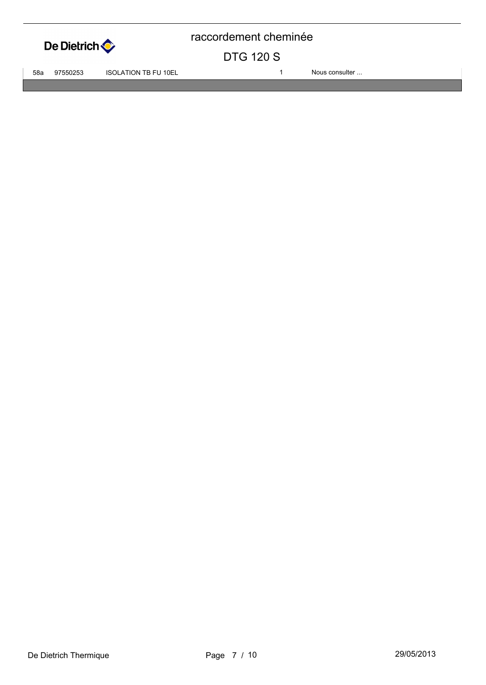![](_page_6_Picture_0.jpeg)

#### DTG 120 S

58a 97550253 ISOLATION TB FU 10EL 1 1 1 Nous consulter ...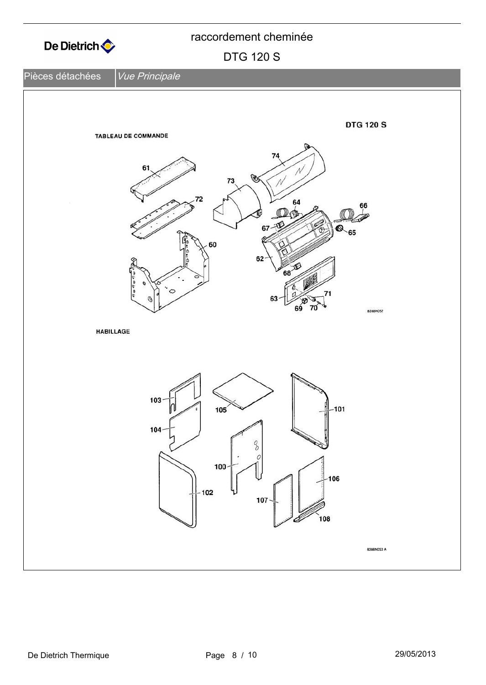![](_page_7_Figure_0.jpeg)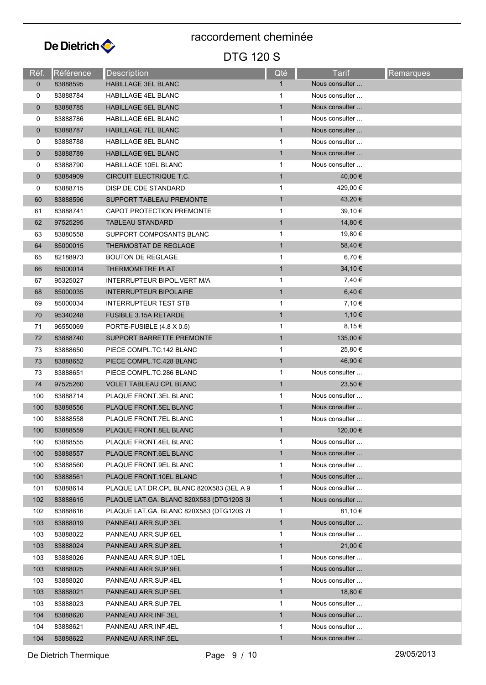![](_page_8_Picture_0.jpeg)

| Réf.         | <b>Référence</b> | <b>Description</b>                       | Qté          | Tarif          | <b>Remarques</b> |
|--------------|------------------|------------------------------------------|--------------|----------------|------------------|
| $\mathbf{0}$ | 83888595         | <b>HABILLAGE 3EL BLANC</b>               | 1            | Nous consulter |                  |
| 0            | 83888784         | <b>HABILLAGE 4EL BLANC</b>               | 1            | Nous consulter |                  |
| $\mathbf 0$  | 83888785         | <b>HABILLAGE 5EL BLANC</b>               | $\mathbf{1}$ | Nous consulter |                  |
| 0            | 83888786         | <b>HABILLAGE 6EL BLANC</b>               | 1            | Nous consulter |                  |
| $\mathbf{0}$ | 83888787         | <b>HABILLAGE 7EL BLANC</b>               | $\mathbf{1}$ | Nous consulter |                  |
| 0            | 83888788         | <b>HABILLAGE 8EL BLANC</b>               | 1            | Nous consulter |                  |
| $\mathbf 0$  | 83888789         | HABILLAGE 9EL BLANC                      | $\mathbf{1}$ | Nous consulter |                  |
| 0            | 83888790         | <b>HABILLAGE 10EL BLANC</b>              | $\mathbf{1}$ | Nous consulter |                  |
| $\mathbf 0$  | 83884909         | CIRCUIT ELECTRIQUE T.C.                  | $\mathbf{1}$ | 40,00 €        |                  |
| 0            | 83888715         | DISP DE CDE STANDARD                     | 1            | 429,00 €       |                  |
| 60           | 83888596         | SUPPORT TABLEAU PREMONTE                 | $\mathbf{1}$ | 43,20 €        |                  |
| 61           | 83888741         | CAPOT PROTECTION PREMONTE                | 1            | 39,10 €        |                  |
| 62           | 97525295         | <b>TABLEAU STANDARD</b>                  | $\mathbf{1}$ | 14,80 €        |                  |
| 63           | 83880558         | SUPPORT COMPOSANTS BLANC                 | 1            | 19,80 €        |                  |
| 64           | 85000015         | THERMOSTAT DE REGLAGE                    | $\mathbf{1}$ | 58,40 €        |                  |
| 65           | 82188973         | <b>BOUTON DE REGLAGE</b>                 | 1            | 6,70 €         |                  |
| 66           | 85000014         | <b>THERMOMETRE PLAT</b>                  | 1            | 34,10 €        |                  |
| 67           | 95325027         | INTERRUPTEUR BIPOL. VERT M/A             | 1            | 7,40 €         |                  |
| 68           | 85000035         | <b>INTERRUPTEUR BIPOLAIRE</b>            | $\mathbf{1}$ | 6,40€          |                  |
| 69           | 85000034         | <b>INTERRUPTEUR TEST STB</b>             | 1            | 7,10 €         |                  |
| 70           | 95340248         | <b>FUSIBLE 3.15A RETARDE</b>             | $\mathbf{1}$ | 1,10 €         |                  |
| 71           | 96550069         | PORTE-FUSIBLE (4.8 X 0.5)                | 1            | 8,15€          |                  |
| 72           | 83888740         | SUPPORT BARRETTE PREMONTE                | $\mathbf{1}$ | 135,00 €       |                  |
| 73           | 83888650         | PIECE COMPL.TC.142 BLANC                 | 1            | 25,80 €        |                  |
| 73           | 83888652         | PIECE COMPL TC 428 BLANC                 | $\mathbf{1}$ | 46,90 €        |                  |
| 73           | 83888651         | PIECE COMPL.TC.286 BLANC                 | 1            | Nous consulter |                  |
| 74           | 97525260         | <b>VOLET TABLEAU CPL BLANC</b>           | $\mathbf{1}$ | 23,50 €        |                  |
| 100          | 83888714         | PLAQUE FRONT.3EL BLANC                   | $\mathbf 1$  | Nous consulter |                  |
| 100          | 83888556         | PLAQUE FRONT.5EL BLANC                   | $\mathbf{1}$ | Nous consulter |                  |
| 100          | 83888558         | PLAQUE FRONT.7EL BLANC                   | 1            | Nous consulter |                  |
| 100          | 83888559         | PLAQUE FRONT.8EL BLANC                   | 1            | 120,00 €       |                  |
| 100          | 83888555         | PLAQUE FRONT.4EL BLANC                   | 1            | Nous consulter |                  |
| 100          | 83888557         | PLAQUE FRONT.6EL BLANC                   | $\mathbf{1}$ | Nous consulter |                  |
| 100          | 83888560         | PLAQUE FRONT.9EL BLANC                   | 1            | Nous consulter |                  |
| 100          | 83888561         | PLAQUE FRONT.10EL BLANC                  | $\mathbf{1}$ | Nous consulter |                  |
| 101          | 83888614         | PLAQUE LAT.DR.CPL BLANC 820X583 (3EL A 9 | 1            | Nous consulter |                  |
| 102          | 83888615         | PLAQUE LAT.GA. BLANC 820X583 (DTG120S 3I | $\mathbf{1}$ | Nous consulter |                  |
| 102          | 83888616         | PLAQUE LAT GA. BLANC 820X583 (DTG120S 7) | 1            | 81,10€         |                  |
| 103          | 83888019         | PANNEAU ARR SUP 3EL                      | $\mathbf{1}$ | Nous consulter |                  |
| 103          | 83888022         | PANNEAU ARR.SUP.6EL                      | 1            | Nous consulter |                  |
| 103          | 83888024         | PANNEAU ARR.SUP.8EL                      | $\mathbf{1}$ | 21,00 €        |                  |
| 103          | 83888026         | PANNEAU ARR.SUP.10EL                     | $\mathbf{1}$ | Nous consulter |                  |
| 103          | 83888025         | PANNEAU ARR SUP 9EL                      | $\mathbf{1}$ | Nous consulter |                  |
| 103          | 83888020         | PANNEAU ARR SUP 4EL                      | 1            | Nous consulter |                  |
| 103          | 83888021         | PANNEAU ARR.SUP.5EL                      | $\mathbf{1}$ | 18,80 €        |                  |
| 103          | 83888023         | PANNEAU ARR SUP 7EL                      | 1            | Nous consulter |                  |
| 104          | 83888620         | PANNEAU ARR.INF.3EL                      | $\mathbf{1}$ | Nous consulter |                  |
| 104          | 83888621         | PANNEAU ARR.INF.4EL                      | 1            | Nous consulter |                  |
| 104          | 83888622         | PANNEAU ARR.INF.5EL                      | $\mathbf{1}$ | Nous consulter |                  |